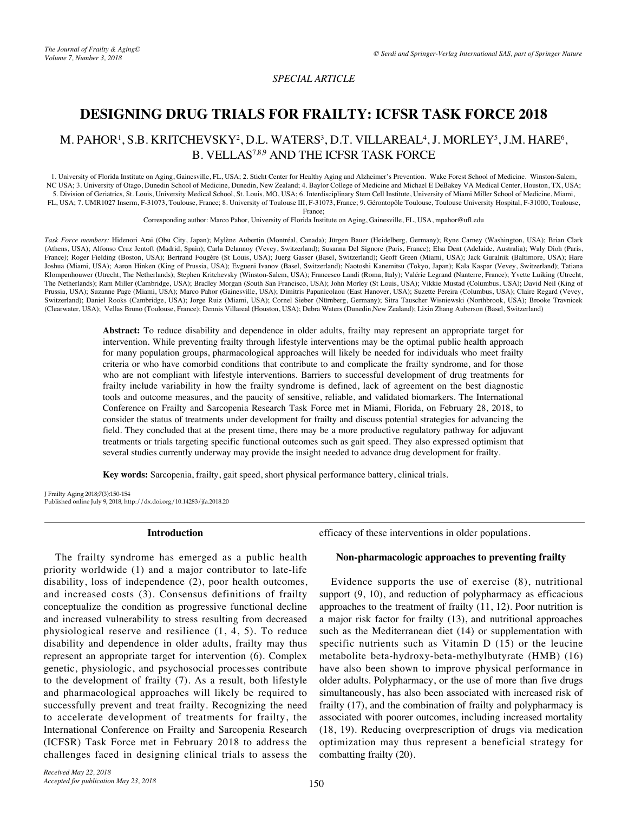*SPECIAL ARTICLE*

# **DESIGNING DRUG TRIALS FOR FRAILTY: ICFSR TASK FORCE 2018**

## M. PAHOR<sup>1</sup>, S.B. KRITCHEVSKY<sup>2</sup>, D.L. WATERS<sup>3</sup>, D.T. VILLAREAL<sup>4</sup>, J. MORLEY<sup>5</sup>, J.M. HARE<sup>6</sup>, B. VELLAS<sup>7,8,9</sup> AND THE ICFSR TASK FORCE

1. University of Florida Institute on Aging, Gainesville, FL, USA; 2. Sticht Center for Healthy Aging and Alzheimer's Prevention. Wake Forest School of Medicine. Winston-Salem, NC USA; 3. University of Otago, Dunedin School of Medicine, Dunedin, New Zealand; 4. Baylor College of Medicine and Michael E DeBakey VA Medical Center, Houston, TX, USA; 5. Division of Geriatrics, St. Louis, University Medical School, St. Louis, MO, USA; 6. Interdisciplinary Stem Cell Institute, University of Miami Miller School of Medicine, Miami, FL, USA; 7. UMR1027 Inserm, F-31073, Toulouse, France; 8. University of Toulouse III, F-31073, France; 9. Gérontopôle Toulouse, Toulouse University Hospital, F-31000, Toulouse,

France;

Corresponding author: Marco Pahor, University of Florida Institute on Aging, Gainesville, FL, USA, mpahor@ufl.edu

*Task Force members:* Hidenori Arai (Obu City, Japan); Mylène Aubertin (Montréal, Canada); Jürgen Bauer (Heidelberg, Germany); Ryne Carney (Washington, USA); Brian Clark (Athens, USA); Alfonso Cruz Jentoft (Madrid, Spain); Carla Delannoy (Vevey, Switzerland); Susanna Del Signore (Paris, France); Elsa Dent (Adelaide, Australia); Waly Dioh (Paris, France); Roger Fielding (Boston, USA); Bertrand Fougère (St Louis, USA); Juerg Gasser (Basel, Switzerland); Geoff Green (Miami, USA); Jack Guralnik (Baltimore, USA); Hare Joshua (Miami, USA); Aaron Hinken (King of Prussia, USA); Evgueni Ivanov (Basel, Switzerland); Naotoshi Kanemitsu (Tokyo, Japan); Kala Kaspar (Vevey, Switzerland); Tatiana Klompenhouwer (Utrecht, The Netherlands); Stephen Kritchevsky (Winston-Salem, USA); Francesco Landi (Roma, Italy); Valérie Legrand (Nanterre, France); Yvette Luiking (Utrecht, The Netherlands); Ram Miller (Cambridge, USA); Bradley Morgan (South San Francisco, USA); John Morley (St Louis, USA); Vikkie Mustad (Columbus, USA); David Neil (King of Prussia, USA); Suzanne Page (Miami, USA); Marco Pahor (Gainesville, USA); Dimitris Papanicolaou (East Hanover, USA); Suzette Pereira (Columbus, USA); Claire Regard (Vevey, Switzerland); Daniel Rooks (Cambridge, USA); Jorge Ruiz (Miami, USA); Cornel Sieber (Nürnberg, Germany); Sitra Tauscher Wisniewski (Northbrook, USA); Brooke Travnicek (Clearwater, USA); Vellas Bruno (Toulouse, France); Dennis Villareal (Houston, USA); Debra Waters (Dunedin,New Zealand); Lixin Zhang Auberson (Basel, Switzerland)

> **Abstract:** To reduce disability and dependence in older adults, frailty may represent an appropriate target for intervention. While preventing frailty through lifestyle interventions may be the optimal public health approach for many population groups, pharmacological approaches will likely be needed for individuals who meet frailty criteria or who have comorbid conditions that contribute to and complicate the frailty syndrome, and for those who are not compliant with lifestyle interventions. Barriers to successful development of drug treatments for frailty include variability in how the frailty syndrome is defined, lack of agreement on the best diagnostic tools and outcome measures, and the paucity of sensitive, reliable, and validated biomarkers. The International Conference on Frailty and Sarcopenia Research Task Force met in Miami, Florida, on February 28, 2018, to consider the status of treatments under development for frailty and discuss potential strategies for advancing the field. They concluded that at the present time, there may be a more productive regulatory pathway for adjuvant treatments or trials targeting specific functional outcomes such as gait speed. They also expressed optimism that several studies currently underway may provide the insight needed to advance drug development for frailty.

**Key words:** Sarcopenia, frailty, gait speed, short physical performance battery, clinical trials.

J Frailty Aging 2018;7(3):150-154 Published online July 9, 2018, http://dx.doi.org/10.14283/jfa.2018.20

#### **Introduction**

The frailty syndrome has emerged as a public health priority worldwide (1) and a major contributor to late-life disability, loss of independence (2), poor health outcomes, and increased costs (3). Consensus definitions of frailty conceptualize the condition as progressive functional decline and increased vulnerability to stress resulting from decreased physiological reserve and resilience (1, 4, 5). To reduce disability and dependence in older adults, frailty may thus represent an appropriate target for intervention (6). Complex genetic, physiologic, and psychosocial processes contribute to the development of frailty (7). As a result, both lifestyle and pharmacological approaches will likely be required to successfully prevent and treat frailty. Recognizing the need to accelerate development of treatments for frailty, the International Conference on Frailty and Sarcopenia Research (ICFSR) Task Force met in February 2018 to address the challenges faced in designing clinical trials to assess the

efficacy of these interventions in older populations.

#### **Non-pharmacologic approaches to preventing frailty**

Evidence supports the use of exercise (8), nutritional support  $(9, 10)$ , and reduction of polypharmacy as efficacious approaches to the treatment of frailty (11, 12). Poor nutrition is a major risk factor for frailty (13), and nutritional approaches such as the Mediterranean diet (14) or supplementation with specific nutrients such as Vitamin D (15) or the leucine metabolite beta-hydroxy-beta-methylbutyrate (HMB) (16) have also been shown to improve physical performance in older adults. Polypharmacy, or the use of more than five drugs simultaneously, has also been associated with increased risk of frailty (17), and the combination of frailty and polypharmacy is associated with poorer outcomes, including increased mortality (18, 19). Reducing overprescription of drugs via medication optimization may thus represent a beneficial strategy for combatting frailty (20).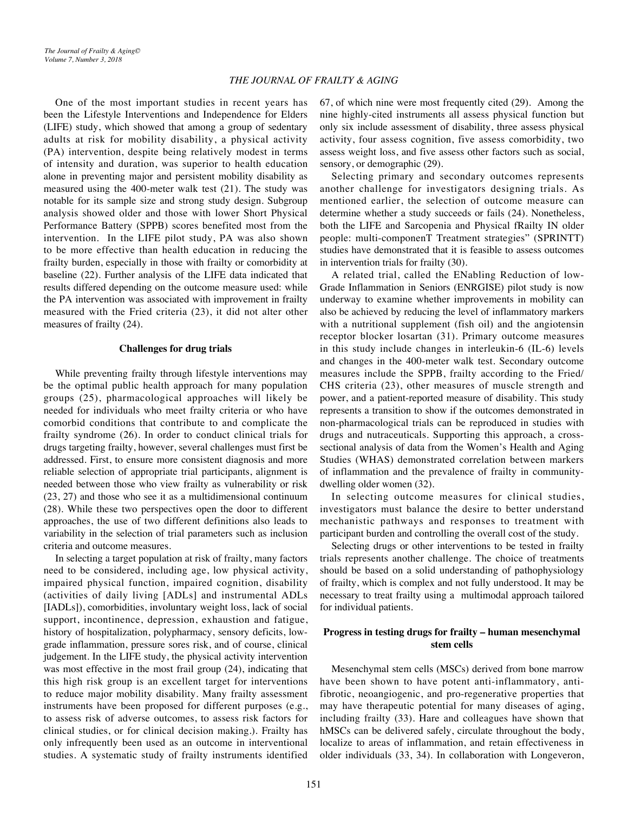One of the most important studies in recent years has been the Lifestyle Interventions and Independence for Elders (LIFE) study, which showed that among a group of sedentary adults at risk for mobility disability, a physical activity (PA) intervention, despite being relatively modest in terms of intensity and duration, was superior to health education alone in preventing major and persistent mobility disability as measured using the 400-meter walk test (21). The study was notable for its sample size and strong study design. Subgroup analysis showed older and those with lower Short Physical Performance Battery (SPPB) scores benefited most from the intervention. In the LIFE pilot study, PA was also shown to be more effective than health education in reducing the frailty burden, especially in those with frailty or comorbidity at baseline (22). Further analysis of the LIFE data indicated that results differed depending on the outcome measure used: while the PA intervention was associated with improvement in frailty measured with the Fried criteria (23), it did not alter other measures of frailty (24).

#### **Challenges for drug trials**

While preventing frailty through lifestyle interventions may be the optimal public health approach for many population groups (25), pharmacological approaches will likely be needed for individuals who meet frailty criteria or who have comorbid conditions that contribute to and complicate the frailty syndrome (26). In order to conduct clinical trials for drugs targeting frailty, however, several challenges must first be addressed. First, to ensure more consistent diagnosis and more reliable selection of appropriate trial participants, alignment is needed between those who view frailty as vulnerability or risk (23, 27) and those who see it as a multidimensional continuum (28). While these two perspectives open the door to different approaches, the use of two different definitions also leads to variability in the selection of trial parameters such as inclusion criteria and outcome measures.

In selecting a target population at risk of frailty, many factors need to be considered, including age, low physical activity, impaired physical function, impaired cognition, disability (activities of daily living [ADLs] and instrumental ADLs [IADLs]), comorbidities, involuntary weight loss, lack of social support, incontinence, depression, exhaustion and fatigue, history of hospitalization, polypharmacy, sensory deficits, lowgrade inflammation, pressure sores risk, and of course, clinical judgement. In the LIFE study, the physical activity intervention was most effective in the most frail group (24), indicating that this high risk group is an excellent target for interventions to reduce major mobility disability. Many frailty assessment instruments have been proposed for different purposes (e.g., to assess risk of adverse outcomes, to assess risk factors for clinical studies, or for clinical decision making.). Frailty has only infrequently been used as an outcome in interventional studies. A systematic study of frailty instruments identified 67, of which nine were most frequently cited (29). Among the nine highly-cited instruments all assess physical function but only six include assessment of disability, three assess physical activity, four assess cognition, five assess comorbidity, two assess weight loss, and five assess other factors such as social, sensory, or demographic (29).

Selecting primary and secondary outcomes represents another challenge for investigators designing trials. As mentioned earlier, the selection of outcome measure can determine whether a study succeeds or fails (24). Nonetheless, both the LIFE and Sarcopenia and Physical fRailty IN older people: multi-componenT Treatment strategies" (SPRINTT) studies have demonstrated that it is feasible to assess outcomes in intervention trials for frailty (30).

A related trial, called the ENabling Reduction of low-Grade Inflammation in Seniors (ENRGISE) pilot study is now underway to examine whether improvements in mobility can also be achieved by reducing the level of inflammatory markers with a nutritional supplement (fish oil) and the angiotensin receptor blocker losartan (31). Primary outcome measures in this study include changes in interleukin-6 (IL-6) levels and changes in the 400-meter walk test. Secondary outcome measures include the SPPB, frailty according to the Fried/ CHS criteria (23), other measures of muscle strength and power, and a patient-reported measure of disability. This study represents a transition to show if the outcomes demonstrated in non-pharmacological trials can be reproduced in studies with drugs and nutraceuticals. Supporting this approach, a crosssectional analysis of data from the Women's Health and Aging Studies (WHAS) demonstrated correlation between markers of inflammation and the prevalence of frailty in communitydwelling older women (32).

In selecting outcome measures for clinical studies, investigators must balance the desire to better understand mechanistic pathways and responses to treatment with participant burden and controlling the overall cost of the study.

Selecting drugs or other interventions to be tested in frailty trials represents another challenge. The choice of treatments should be based on a solid understanding of pathophysiology of frailty, which is complex and not fully understood. It may be necessary to treat frailty using a multimodal approach tailored for individual patients.

### **Progress in testing drugs for frailty – human mesenchymal stem cells**

Mesenchymal stem cells (MSCs) derived from bone marrow have been shown to have potent anti-inflammatory, antifibrotic, neoangiogenic, and pro-regenerative properties that may have therapeutic potential for many diseases of aging, including frailty (33). Hare and colleagues have shown that hMSCs can be delivered safely, circulate throughout the body, localize to areas of inflammation, and retain effectiveness in older individuals (33, 34). In collaboration with Longeveron,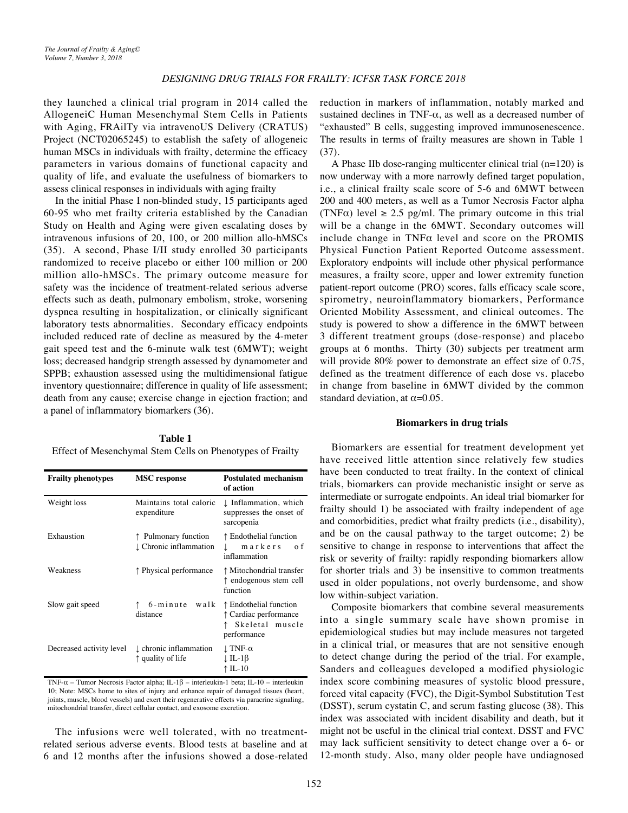they launched a clinical trial program in 2014 called the AllogeneiC Human Mesenchymal Stem Cells in Patients with Aging, FRAilTy via intravenoUS Delivery (CRATUS) Project (NCT02065245) to establish the safety of allogeneic human MSCs in individuals with frailty, determine the efficacy parameters in various domains of functional capacity and quality of life, and evaluate the usefulness of biomarkers to assess clinical responses in individuals with aging frailty

In the initial Phase I non-blinded study, 15 participants aged 60-95 who met frailty criteria established by the Canadian Study on Health and Aging were given escalating doses by intravenous infusions of 20, 100, or 200 million allo-hMSCs (35). A second, Phase I/II study enrolled 30 participants randomized to receive placebo or either 100 million or 200 million allo-hMSCs. The primary outcome measure for safety was the incidence of treatment-related serious adverse effects such as death, pulmonary embolism, stroke, worsening dyspnea resulting in hospitalization, or clinically significant laboratory tests abnormalities. Secondary efficacy endpoints included reduced rate of decline as measured by the 4-meter gait speed test and the 6-minute walk test (6MWT); weight loss; decreased handgrip strength assessed by dynamometer and SPPB; exhaustion assessed using the multidimensional fatigue inventory questionnaire; difference in quality of life assessment; death from any cause; exercise change in ejection fraction; and a panel of inflammatory biomarkers (36).

**Table 1** Effect of Mesenchymal Stem Cells on Phenotypes of Frailty

| <b>Frailty phenotypes</b> | <b>MSC</b> response                          | <b>Postulated mechanism</b><br>of action                                            |
|---------------------------|----------------------------------------------|-------------------------------------------------------------------------------------|
| Weight loss               | Maintains total caloric<br>expenditure       | I Inflammation, which<br>suppresses the onset of<br>sarcopenia                      |
| Exhaustion                | Pulmonary function<br>L Chronic inflammation | ↑ Endothelial function<br>markers<br>o f<br>inflammation                            |
| Weakness                  | ↑ Physical performance                       | ↑ Mitochondrial transfer<br>↑ endogenous stem cell<br>function                      |
| Slow gait speed           | 6-minute<br>walk<br>distance                 | ↑ Endothelial function<br>↑ Cardiac performance<br>↑ Skeletal muscle<br>performance |
| Decreased activity level  | L chronic inflammation<br>↑ quality of life  | $\perp$ TNF- $\alpha$<br>↓IL-1β<br>↑ IL-10                                          |

TNF-α – Tumor Necrosis Factor alpha; IL-1β – interleukin-1 beta; IL-10 – interleukin 10; Note: MSCs home to sites of injury and enhance repair of damaged tissues (heart, joints, muscle, blood vessels) and exert their regenerative effects via paracrine signaling, mitochondrial transfer, direct cellular contact, and exosome excretion.

The infusions were well tolerated, with no treatmentrelated serious adverse events. Blood tests at baseline and at 6 and 12 months after the infusions showed a dose-related reduction in markers of inflammation, notably marked and sustained declines in TNF- $\alpha$ , as well as a decreased number of "exhausted" B cells, suggesting improved immunosenescence. The results in terms of frailty measures are shown in Table 1  $(37)$ .

A Phase IIb dose-ranging multicenter clinical trial (n=120) is now underway with a more narrowly defined target population, i.e., a clinical frailty scale score of 5-6 and 6MWT between 200 and 400 meters, as well as a Tumor Necrosis Factor alpha (TNF $\alpha$ ) level  $\geq 2.5$  pg/ml. The primary outcome in this trial will be a change in the 6MWT. Secondary outcomes will include change in  $TNF\alpha$  level and score on the PROMIS Physical Function Patient Reported Outcome assessment. Exploratory endpoints will include other physical performance measures, a frailty score, upper and lower extremity function patient-report outcome (PRO) scores, falls efficacy scale score, spirometry, neuroinflammatory biomarkers, Performance Oriented Mobility Assessment, and clinical outcomes. The study is powered to show a difference in the 6MWT between 3 different treatment groups (dose-response) and placebo groups at 6 months. Thirty (30) subjects per treatment arm will provide 80% power to demonstrate an effect size of 0.75, defined as the treatment difference of each dose vs. placebo in change from baseline in 6MWT divided by the common standard deviation, at  $\alpha$ =0.05.

#### **Biomarkers in drug trials**

Biomarkers are essential for treatment development yet have received little attention since relatively few studies have been conducted to treat frailty. In the context of clinical trials, biomarkers can provide mechanistic insight or serve as intermediate or surrogate endpoints. An ideal trial biomarker for frailty should 1) be associated with frailty independent of age and comorbidities, predict what frailty predicts (i.e., disability), and be on the causal pathway to the target outcome; 2) be sensitive to change in response to interventions that affect the risk or severity of frailty: rapidly responding biomarkers allow for shorter trials and 3) be insensitive to common treatments used in older populations, not overly burdensome, and show low within-subject variation.

Composite biomarkers that combine several measurements into a single summary scale have shown promise in epidemiological studies but may include measures not targeted in a clinical trial, or measures that are not sensitive enough to detect change during the period of the trial. For example, Sanders and colleagues developed a modified physiologic index score combining measures of systolic blood pressure, forced vital capacity (FVC), the Digit-Symbol Substitution Test (DSST), serum cystatin C, and serum fasting glucose (38). This index was associated with incident disability and death, but it might not be useful in the clinical trial context. DSST and FVC may lack sufficient sensitivity to detect change over a 6- or 12-month study. Also, many older people have undiagnosed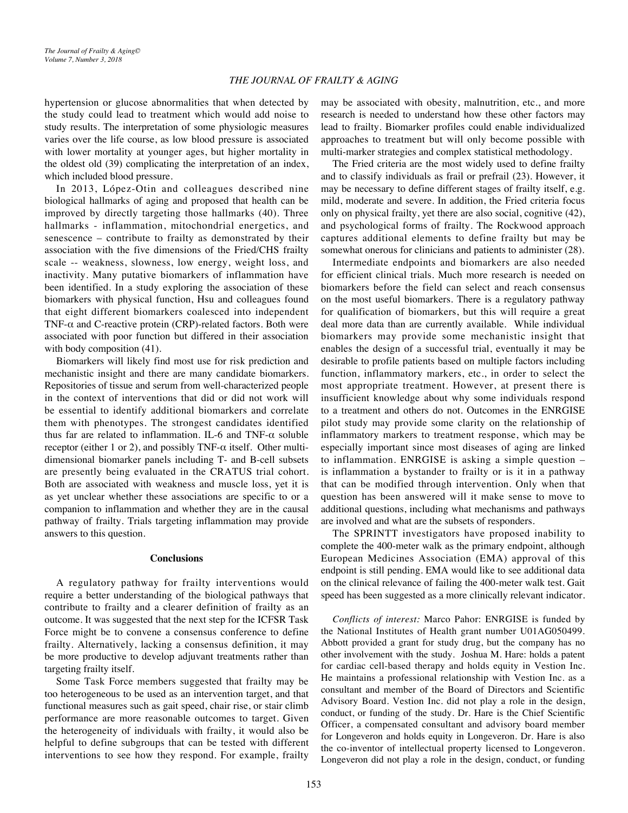#### *THE JOURNAL OF FRAILTY & AGING*

hypertension or glucose abnormalities that when detected by the study could lead to treatment which would add noise to study results. The interpretation of some physiologic measures varies over the life course, as low blood pressure is associated with lower mortality at younger ages, but higher mortality in the oldest old (39) complicating the interpretation of an index, which included blood pressure.

In 2013, López-Otin and colleagues described nine biological hallmarks of aging and proposed that health can be improved by directly targeting those hallmarks (40). Three hallmarks - inflammation, mitochondrial energetics, and senescence – contribute to frailty as demonstrated by their association with the five dimensions of the Fried/CHS frailty scale -- weakness, slowness, low energy, weight loss, and inactivity. Many putative biomarkers of inflammation have been identified. In a study exploring the association of these biomarkers with physical function, Hsu and colleagues found that eight different biomarkers coalesced into independent TNF- $\alpha$  and C-reactive protein (CRP)-related factors. Both were associated with poor function but differed in their association with body composition (41).

Biomarkers will likely find most use for risk prediction and mechanistic insight and there are many candidate biomarkers. Repositories of tissue and serum from well-characterized people in the context of interventions that did or did not work will be essential to identify additional biomarkers and correlate them with phenotypes. The strongest candidates identified thus far are related to inflammation. IL-6 and TNF-α soluble receptor (either 1 or 2), and possibly TNF- $\alpha$  itself. Other multidimensional biomarker panels including T- and B-cell subsets are presently being evaluated in the CRATUS trial cohort. Both are associated with weakness and muscle loss, yet it is as yet unclear whether these associations are specific to or a companion to inflammation and whether they are in the causal pathway of frailty. Trials targeting inflammation may provide answers to this question.

#### **Conclusions**

A regulatory pathway for frailty interventions would require a better understanding of the biological pathways that contribute to frailty and a clearer definition of frailty as an outcome. It was suggested that the next step for the ICFSR Task Force might be to convene a consensus conference to define frailty. Alternatively, lacking a consensus definition, it may be more productive to develop adjuvant treatments rather than targeting frailty itself.

Some Task Force members suggested that frailty may be too heterogeneous to be used as an intervention target, and that functional measures such as gait speed, chair rise, or stair climb performance are more reasonable outcomes to target. Given the heterogeneity of individuals with frailty, it would also be helpful to define subgroups that can be tested with different interventions to see how they respond. For example, frailty

may be associated with obesity, malnutrition, etc., and more research is needed to understand how these other factors may lead to frailty. Biomarker profiles could enable individualized approaches to treatment but will only become possible with multi-marker strategies and complex statistical methodology.

The Fried criteria are the most widely used to define frailty and to classify individuals as frail or prefrail (23). However, it may be necessary to define different stages of frailty itself, e.g. mild, moderate and severe. In addition, the Fried criteria focus only on physical frailty, yet there are also social, cognitive (42), and psychological forms of frailty. The Rockwood approach captures additional elements to define frailty but may be somewhat onerous for clinicians and patients to administer (28).

Intermediate endpoints and biomarkers are also needed for efficient clinical trials. Much more research is needed on biomarkers before the field can select and reach consensus on the most useful biomarkers. There is a regulatory pathway for qualification of biomarkers, but this will require a great deal more data than are currently available. While individual biomarkers may provide some mechanistic insight that enables the design of a successful trial, eventually it may be desirable to profile patients based on multiple factors including function, inflammatory markers, etc., in order to select the most appropriate treatment. However, at present there is insufficient knowledge about why some individuals respond to a treatment and others do not. Outcomes in the ENRGISE pilot study may provide some clarity on the relationship of inflammatory markers to treatment response, which may be especially important since most diseases of aging are linked to inflammation. ENRGISE is asking a simple question – is inflammation a bystander to frailty or is it in a pathway that can be modified through intervention. Only when that question has been answered will it make sense to move to additional questions, including what mechanisms and pathways are involved and what are the subsets of responders.

The SPRINTT investigators have proposed inability to complete the 400-meter walk as the primary endpoint, although European Medicines Association (EMA) approval of this endpoint is still pending. EMA would like to see additional data on the clinical relevance of failing the 400-meter walk test. Gait speed has been suggested as a more clinically relevant indicator.

*Conflicts of interest:* Marco Pahor: ENRGISE is funded by the National Institutes of Health grant number U01AG050499. Abbott provided a grant for study drug, but the company has no other involvement with the study. Joshua M. Hare: holds a patent for cardiac cell-based therapy and holds equity in Vestion Inc. He maintains a professional relationship with Vestion Inc. as a consultant and member of the Board of Directors and Scientific Advisory Board. Vestion Inc. did not play a role in the design, conduct, or funding of the study. Dr. Hare is the Chief Scientific Officer, a compensated consultant and advisory board member for Longeveron and holds equity in Longeveron. Dr. Hare is also the co-inventor of intellectual property licensed to Longeveron. Longeveron did not play a role in the design, conduct, or funding